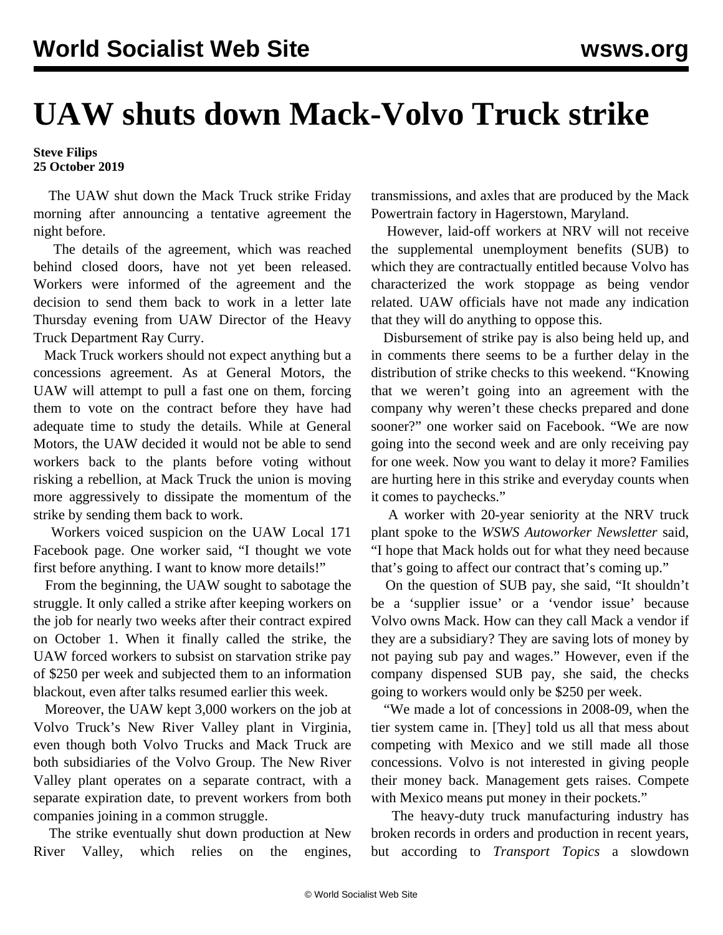## **UAW shuts down Mack-Volvo Truck strike**

## **Steve Filips 25 October 2019**

 The UAW shut down the Mack Truck strike Friday morning after announcing a tentative agreement the night before.

 The details of the agreement, which was reached behind closed doors, have not yet been released. Workers were informed of the agreement and the decision to send them back to work in a letter late Thursday evening from UAW Director of the Heavy Truck Department Ray Curry.

 Mack Truck workers should not expect anything but a concessions agreement. As [at General Motors](/en/articles/2019/10/19/auto-o20.html), the UAW will attempt to pull a fast one on them, forcing them to vote on the contract before they have had adequate time to study the details. While at General Motors, the UAW decided it would not be able to send workers back to the plants before voting without risking a rebellion, at Mack Truck the union is moving more aggressively to dissipate the momentum of the strike by sending them back to work.

 Workers voiced suspicion on the UAW Local 171 Facebook page. One worker said, "I thought we vote first before anything. I want to know more details!"

 From the beginning, the UAW sought to sabotage the struggle. It only called a strike after keeping workers on the job for nearly two weeks after their contract expired on October 1. When it finally called the strike, the UAW forced workers to subsist on starvation strike pay of \$250 per week and subjected them to an information blackout, even after talks resumed earlier this week.

 Moreover, the UAW [kept 3,000 workers on the job](/en/articles/2019/10/17/mack-o17.html) at Volvo Truck's New River Valley plant in Virginia, even though both Volvo Trucks and Mack Truck are both subsidiaries of the Volvo Group. The New River Valley plant operates on a separate contract, with a separate expiration date, to prevent workers from both companies joining in a common struggle.

 The strike eventually [shut down production](/en/articles/2019/10/19/mack-o19.html) at New River Valley, which relies on the engines,

transmissions, and axles that are produced by the Mack Powertrain factory in Hagerstown, Maryland.

 However, laid-off workers at NRV will not receive the supplemental unemployment benefits (SUB) to which they are contractually entitled because Volvo has characterized the work stoppage as being vendor related. UAW officials have not made any indication that they will do anything to oppose this.

 Disbursement of strike pay is also being held up, and in comments there seems to be a further delay in the distribution of strike checks to this weekend. "Knowing that we weren't going into an agreement with the company why weren't these checks prepared and done sooner?" one worker said on Facebook. "We are now going into the second week and are only receiving pay for one week. Now you want to delay it more? Families are hurting here in this strike and everyday counts when it comes to paychecks."

 A worker with 20-year seniority at the NRV truck plant spoke to the *WSWS Autoworker Newsletter* said, "I hope that Mack holds out for what they need because that's going to affect our contract that's coming up."

 On the question of SUB pay, she said, "It shouldn't be a 'supplier issue' or a 'vendor issue' because Volvo owns Mack. How can they call Mack a vendor if they are a subsidiary? They are saving lots of money by not paying sub pay and wages." However, even if the company dispensed SUB pay, she said, the checks going to workers would only be \$250 per week.

 "We made a lot of concessions in 2008-09, when the tier system came in. [They] told us all that mess about competing with Mexico and we still made all those concessions. Volvo is not interested in giving people their money back. Management gets raises. Compete with Mexico means put money in their pockets."

 The heavy-duty truck manufacturing industry has broken records in orders and production in recent years, but according to *Transport Topics* a slowdown